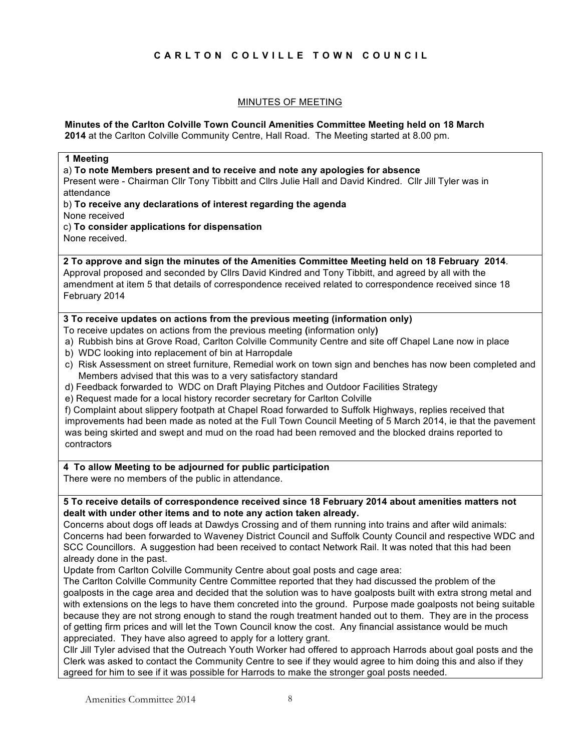# **CARLTON COLVILLE TOWN COUNCIL**

## MINUTES OF MEETING

#### **Minutes of the Carlton Colville Town Council Amenities Committee Meeting held on 18 March 2014** at the Carlton Colville Community Centre, Hall Road. The Meeting started at 8.00 pm.

| 1 Meeting<br>a) To note Members present and to receive and note any apologies for absence<br>Present were - Chairman Cllr Tony Tibbitt and Cllrs Julie Hall and David Kindred. Cllr Jill Tyler was in<br>attendance                                                                                                              |
|----------------------------------------------------------------------------------------------------------------------------------------------------------------------------------------------------------------------------------------------------------------------------------------------------------------------------------|
| b) To receive any declarations of interest regarding the agenda<br>None received                                                                                                                                                                                                                                                 |
| c) To consider applications for dispensation                                                                                                                                                                                                                                                                                     |
| None received.                                                                                                                                                                                                                                                                                                                   |
| 2 To approve and sign the minutes of the Amenities Committee Meeting held on 18 February 2014.<br>Approval proposed and seconded by Cllrs David Kindred and Tony Tibbitt, and agreed by all with the<br>amendment at item 5 that details of correspondence received related to correspondence received since 18<br>February 2014 |
| 3 To receive updates on actions from the previous meeting (information only)<br>To receive updates on actions from the previous meeting (information only)                                                                                                                                                                       |
| a) Rubbish bins at Grove Road, Carlton Colville Community Centre and site off Chapel Lane now in place<br>b) WDC looking into replacement of bin at Harropdale                                                                                                                                                                   |
| c) Risk Assessment on street furniture, Remedial work on town sign and benches has now been completed and<br>Members advised that this was to a very satisfactory standard                                                                                                                                                       |
| d) Feedback forwarded to WDC on Draft Playing Pitches and Outdoor Facilities Strategy<br>e) Request made for a local history recorder secretary for Carlton Colville                                                                                                                                                             |
| f) Complaint about slippery footpath at Chapel Road forwarded to Suffolk Highways, replies received that                                                                                                                                                                                                                         |
| improvements had been made as noted at the Full Town Council Meeting of 5 March 2014, ie that the pavement<br>was being skirted and swept and mud on the road had been removed and the blocked drains reported to<br>contractors                                                                                                 |
| 4 To allow Meeting to be adjourned for public participation                                                                                                                                                                                                                                                                      |
| There were no members of the public in attendance.                                                                                                                                                                                                                                                                               |
| 5 To receive details of correspondence received since 18 February 2014 about amenities matters not<br>dealt with under other items and to note any action taken already.                                                                                                                                                         |
| Concerns about dogs off leads at Dawdys Crossing and of them running into trains and after wild animals:                                                                                                                                                                                                                         |
| Concerns had been forwarded to Waveney District Council and Suffolk County Council and respective WDC and<br>SCC Councillors. A suggestion had been received to contact Network Rail. It was noted that this had been                                                                                                            |
| already done in the past.                                                                                                                                                                                                                                                                                                        |
| Update from Carlton Colville Community Centre about goal posts and cage area:                                                                                                                                                                                                                                                    |
| The Carlton Colville Community Centre Committee reported that they had discussed the problem of the<br>goalposts in the cage area and decided that the solution was to have goalposts built with extra strong metal and                                                                                                          |
| with extensions on the legs to have them concreted into the ground. Purpose made goalposts not being suitable                                                                                                                                                                                                                    |
| because they are not strong enough to stand the rough treatment handed out to them. They are in the process<br>of getting firm prices and will let the Town Council know the cost. Any financial assistance would be much                                                                                                        |
| appreciated. They have also agreed to apply for a lottery grant.<br>Cllr Jill Tyler advised that the Outreach Youth Worker had offered to approach Harrods about goal posts and the                                                                                                                                              |
| Clerk was asked to contact the Community Centre to see if they would agree to him doing this and also if they<br>agreed for him to see if it was possible for Harrods to make the stronger goal posts needed.                                                                                                                    |